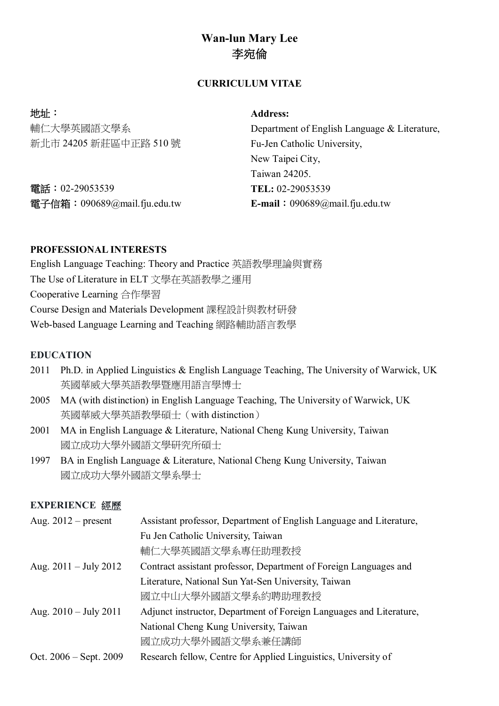# **Wan-lun Mary Lee 李宛倫**

## **CURRICULUM VITAE**

| 地址:                          | <b>Address:</b>                              |
|------------------------------|----------------------------------------------|
| 輔仁大學英國語文學系                   | Department of English Language & Literature, |
| 新北市 24205 新莊區中正路 510號        | Fu-Jen Catholic University,                  |
|                              | New Taipei City,                             |
|                              | Taiwan 24205.                                |
| 電話: 02-29053539              | TEL: 02-29053539                             |
| 電子信箱: 090689@mail.fju.edu.tw | <b>E-mail</b> : $090689$ @mail.fju.edu.tw    |

### **PROFESSIONAL INTERESTS**

English Language Teaching: Theory and Practice 英語教學理論與實務 The Use of Literature in ELT 文學在英語教學之運用 Cooperative Learning 合作學習 Course Design and Materials Development 課程設計與教材研發 Web-based Language Learning and Teaching 網路輔助語言教學

### **EDUCATION**

- 2011 Ph.D. in Applied Linguistics & English Language Teaching, The University of Warwick, UK 英國華威大學英語教學暨應用語言學博士
- 2005 MA (with distinction) in English Language Teaching, The University of Warwick, UK 英國華威大學英語教學碩士(with distinction)
- 2001 MA in English Language & Literature, National Cheng Kung University, Taiwan 國立成功大學外國語文學研究所碩士
- 1997 BA in English Language & Literature, National Cheng Kung University, Taiwan 國立成功大學外國語文學系學士

#### **EXPERIENCE 經歷**

| Aug. $2012$ – present           | Assistant professor, Department of English Language and Literature, |  |
|---------------------------------|---------------------------------------------------------------------|--|
|                                 | Fu Jen Catholic University, Taiwan                                  |  |
|                                 | 輔仁大學英國語文學系專任助理教授                                                    |  |
| Aug. $2011 - \text{July } 2012$ | Contract assistant professor, Department of Foreign Languages and   |  |
|                                 | Literature, National Sun Yat-Sen University, Taiwan                 |  |
|                                 | 國立中山大學外國語文學系約聘助理教授                                                  |  |
| Aug. $2010 - \text{July } 2011$ | Adjunct instructor, Department of Foreign Languages and Literature, |  |
|                                 | National Cheng Kung University, Taiwan                              |  |
|                                 | 國立成功大學外國語文學系兼任講師                                                    |  |
| Oct. $2006 - Sept. 2009$        | Research fellow, Centre for Applied Linguistics, University of      |  |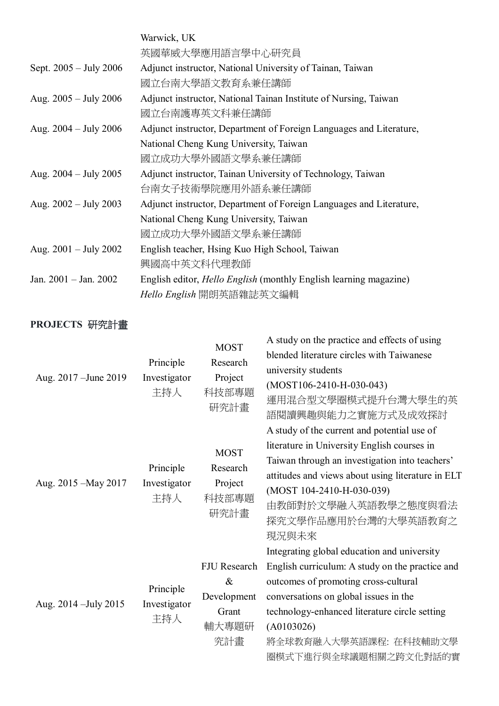|                                 | Warwick, UK                                                              |
|---------------------------------|--------------------------------------------------------------------------|
|                                 | 英國華威大學應用語言學中心研究員                                                         |
| Sept. 2005 - July 2006          | Adjunct instructor, National University of Tainan, Taiwan                |
|                                 | 國立台南大學語文教育系兼任講師                                                          |
| Aug. $2005 - \text{July } 2006$ | Adjunct instructor, National Tainan Institute of Nursing, Taiwan         |
|                                 | 國立台南護專英文科兼任講師                                                            |
| Aug. $2004 - \text{July } 2006$ | Adjunct instructor, Department of Foreign Languages and Literature,      |
|                                 | National Cheng Kung University, Taiwan                                   |
|                                 | 國立成功大學外國語文學系兼任講師                                                         |
| Aug. $2004 - \text{July } 2005$ | Adjunct instructor, Tainan University of Technology, Taiwan              |
|                                 | 台南女子技術學院應用外語系兼任講師                                                        |
| Aug. $2002 - July 2003$         | Adjunct instructor, Department of Foreign Languages and Literature,      |
|                                 | National Cheng Kung University, Taiwan                                   |
|                                 | 國立成功大學外國語文學系兼任講師                                                         |
| Aug. $2001 - July 2002$         | English teacher, Hsing Kuo High School, Taiwan                           |
|                                 | 興國高中英文科代理教師                                                              |
| Jan. $2001 -$ Jan. $2002$       | English editor, <i>Hello English</i> (monthly English learning magazine) |
|                                 | Hello English 開朗英語雜誌英文編輯                                                 |

# **PROJECTS 研究計畫**

| Aug. 2017 – June 2019 | Principle<br>Investigator<br>主持人 | <b>MOST</b><br>Research<br>Project<br>科技部專題<br>研究計畫          | A study on the practice and effects of using<br>blended literature circles with Taiwanese<br>university students<br>$(MOST106-2410-H-030-043)$<br>運用混合型文學圈模式提升台灣大學生的英<br>語閱讀興趣與能力之實施方式及成效探討                                                                                                       |
|-----------------------|----------------------------------|--------------------------------------------------------------|---------------------------------------------------------------------------------------------------------------------------------------------------------------------------------------------------------------------------------------------------------------------------------------------------|
| Aug. 2015 – May 2017  | Principle<br>Investigator<br>主持人 | <b>MOST</b><br>Research<br>Project<br>科技部專題<br>研究計畫          | A study of the current and potential use of<br>literature in University English courses in<br>Taiwan through an investigation into teachers'<br>attitudes and views about using literature in ELT<br>(MOST 104-2410-H-030-039)<br>由教師對於文學融入英語教學之態度與看法<br>探究文學作品應用於台灣的大學英語教育之<br>現況與未來             |
| Aug. 2014 - July 2015 | Principle<br>Investigator<br>主持人 | FJU Research<br>$\&$<br>Development<br>Grant<br>輔大專題研<br>究計畫 | Integrating global education and university<br>English curriculum: A study on the practice and<br>outcomes of promoting cross-cultural<br>conversations on global issues in the<br>technology-enhanced literature circle setting<br>(A0103026)<br>將全球教育融入大學英語課程: 在科技輔助文學<br>圈模式下進行與全球議題相關之跨文化對話的實 |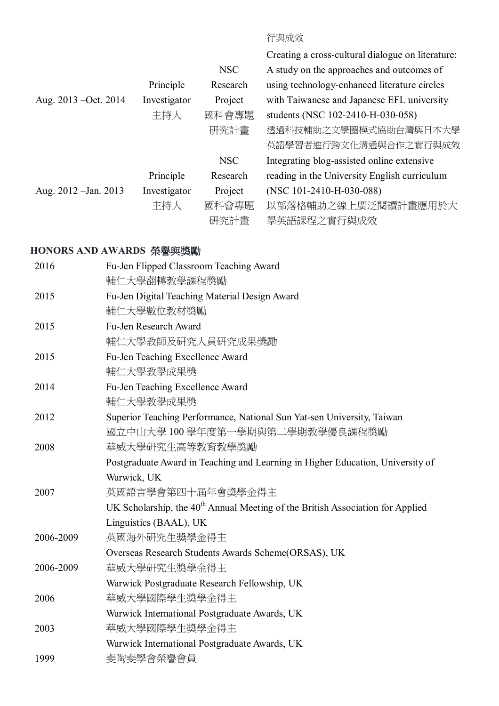# 行與成效

|                       |              |            | Creating a cross-cultural dialogue on literature: |
|-----------------------|--------------|------------|---------------------------------------------------|
|                       |              | <b>NSC</b> | A study on the approaches and outcomes of         |
|                       | Principle    | Research   | using technology-enhanced literature circles      |
| Aug. 2013 – Oct. 2014 | Investigator | Project    | with Taiwanese and Japanese EFL university        |
|                       | 主持人          | 國科會專題      | students (NSC 102-2410-H-030-058)                 |
|                       |              | 研究計畫       | 透過科技輔助之文學圈模式協助台灣與日本大學                             |
|                       |              |            | 英語學習者進行跨文化溝通與合作之實行與成效                             |
|                       |              | <b>NSC</b> | Integrating blog-assisted online extensive        |
|                       | Principle    | Research   | reading in the University English curriculum      |
| Aug. 2012 - Jan. 2013 | Investigator | Project    | (NSC 101-2410-H-030-088)                          |
|                       | 主持人          | 國科會專題      | 以部落格輔助之線上廣泛閱讀計畫應用於大                               |
|                       |              | 研究計畫       | 學英語課程之實行與成效                                       |
|                       |              |            |                                                   |

# **HONORS AND AWARDS 榮譽與獎勵**

| 2016      | Fu-Jen Flipped Classroom Teaching Award                                                    |
|-----------|--------------------------------------------------------------------------------------------|
|           | 輔仁大學翻轉教學課程獎勵                                                                               |
| 2015      | Fu-Jen Digital Teaching Material Design Award                                              |
|           | 輔仁大學數位教材獎勵                                                                                 |
| 2015      | Fu-Jen Research Award                                                                      |
|           | 輔仁大學教師及研究人員研究成果獎勵                                                                          |
| 2015      | Fu-Jen Teaching Excellence Award                                                           |
|           | 輔仁大學教學成果獎                                                                                  |
| 2014      | Fu-Jen Teaching Excellence Award                                                           |
|           | 輔仁大學教學成果獎                                                                                  |
| 2012      | Superior Teaching Performance, National Sun Yat-sen University, Taiwan                     |
|           | 國立中山大學 100 學年度第一學期與第二學期教學優良課程獎勵                                                            |
| 2008      | 華威大學研究生高等教育教學獎勵                                                                            |
|           | Postgraduate Award in Teaching and Learning in Higher Education, University of             |
|           | Warwick, UK                                                                                |
| 2007      | 英國語言學會第四十屆年會獎學金得主                                                                          |
|           | UK Scholarship, the 40 <sup>th</sup> Annual Meeting of the British Association for Applied |
|           | Linguistics (BAAL), UK                                                                     |
| 2006-2009 | 英國海外研究生獎學金得主                                                                               |
|           | Overseas Research Students Awards Scheme(ORSAS), UK                                        |
| 2006-2009 | 華威大學研究生獎學金得主                                                                               |
|           | Warwick Postgraduate Research Fellowship, UK                                               |
| 2006      | 華威大學國際學生獎學金得主                                                                              |
|           | Warwick International Postgraduate Awards, UK                                              |
| 2003      | 華威大學國際學生獎學金得主                                                                              |
|           | Warwick International Postgraduate Awards, UK                                              |
| 1999      | 斐陶斐學會榮譽會員                                                                                  |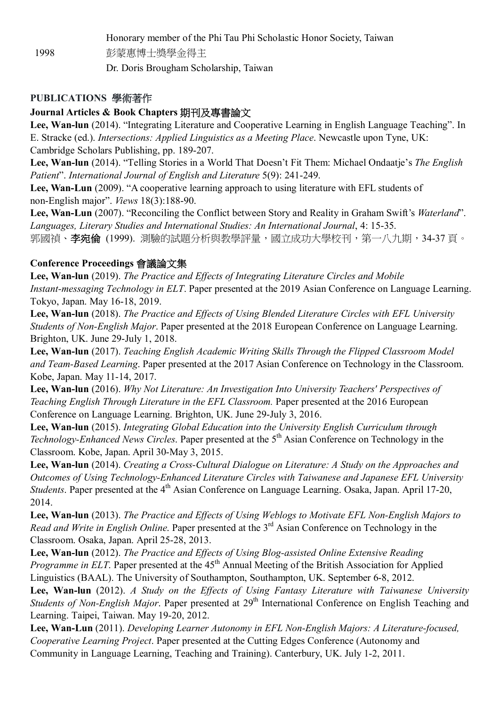Honorary member of the Phi Tau Phi Scholastic Honor Society, Taiwan 1998 彭蒙惠博士獎學金得主 Dr. Doris Brougham Scholarship, Taiwan

### **PUBLICATIONS 學術著作**

### **Journal Articles & Book Chapters 期刊及專書論文**

**Lee, Wan-lun** (2014). "Integrating Literature and Cooperative Learning in English Language Teaching". In E. Stracke (ed.). *Intersections: Applied Linguistics as a Meeting Place*. Newcastle upon Tyne, UK: Cambridge Scholars Publishing, pp. 189-207.

**Lee, Wan-lun** (2014). "Telling Stories in a World That Doesn't Fit Them: Michael Ondaatje's *The English Patient*". *International Journal of English and Literature* 5(9): 241-249.

**Lee, Wan-Lun** (2009). "A cooperative learning approach to using literature with EFL students of non-English major". *Views* 18(3):188-90.

**Lee, Wan-Lun** (2007). "Reconciling the Conflict between Story and Reality in Graham Swift's *Waterland*". *Languages, Literary Studies and International Studies: An International Journal*, 4: 15-35. 郭國禎、**李宛倫** (1999). 測驗的試題分析與教學評量,國立成功大學校刊,第一八九期,34-37 頁。

#### **Conference Proceedings 會議論文集**

**Lee, Wan-lun** (2019). *The Practice and Effects of Integrating Literature Circles and Mobile Instant-messaging Technology in ELT*. Paper presented at the 2019 Asian Conference on Language Learning. Tokyo, Japan. May 16-18, 2019.

**Lee, Wan-lun** (2018). *The Practice and Effects of Using Blended Literature Circles with EFL University Students of Non-English Major*. Paper presented at the 2018 European Conference on Language Learning. Brighton, UK. June 29-July 1, 2018.

**Lee, Wan-lun** (2017). *Teaching English Academic Writing Skills Through the Flipped Classroom Model and Team-Based Learning*. Paper presented at the 2017 Asian Conference on Technology in the Classroom. Kobe, Japan. May 11-14, 2017.

**Lee, Wan-lun** (2016). *Why Not Literature: An Investigation Into University Teachers' Perspectives of Teaching English Through Literature in the EFL Classroom.* Paper presented at the 2016 European Conference on Language Learning. Brighton, UK. June 29-July 3, 2016.

**Lee, Wan-lun** (2015). *Integrating Global Education into the University English Curriculum through Technology-Enhanced News Circles*. Paper presented at the 5<sup>th</sup> Asian Conference on Technology in the Classroom. Kobe, Japan. April 30-May 3, 2015.

**Lee, Wan-lun** (2014). *Creating a Cross-Cultural Dialogue on Literature: A Study on the Approaches and Outcomes of Using Technology-Enhanced Literature Circles with Taiwanese and Japanese EFL University Students*. Paper presented at the 4<sup>th</sup> Asian Conference on Language Learning. Osaka, Japan. April 17-20, 2014.

**Lee, Wan-lun** (2013). *The Practice and Effects of Using Weblogs to Motivate EFL Non-English Majors to Read and Write in English Online*. Paper presented at the 3<sup>rd</sup> Asian Conference on Technology in the Classroom. Osaka, Japan. April 25-28, 2013.

**Lee, Wan-lun** (2012). *The Practice and Effects of Using Blog-assisted Online Extensive Reading Programme in ELT*. Paper presented at the 45<sup>th</sup> Annual Meeting of the British Association for Applied Linguistics (BAAL). The University of Southampton, Southampton, UK. September 6-8, 2012.

**Lee, Wan-lun** (2012). *A Study on the Effects of Using Fantasy Literature with Taiwanese University Students of Non-English Major*. Paper presented at 29<sup>th</sup> International Conference on English Teaching and Learning. Taipei, Taiwan. May 19-20, 2012.

**Lee, Wan-Lun** (2011). *Developing Learner Autonomy in EFL Non-English Majors: A Literature-focused, Cooperative Learning Project*. Paper presented at the Cutting Edges Conference (Autonomy and Community in Language Learning, Teaching and Training). Canterbury, UK. July 1-2, 2011.